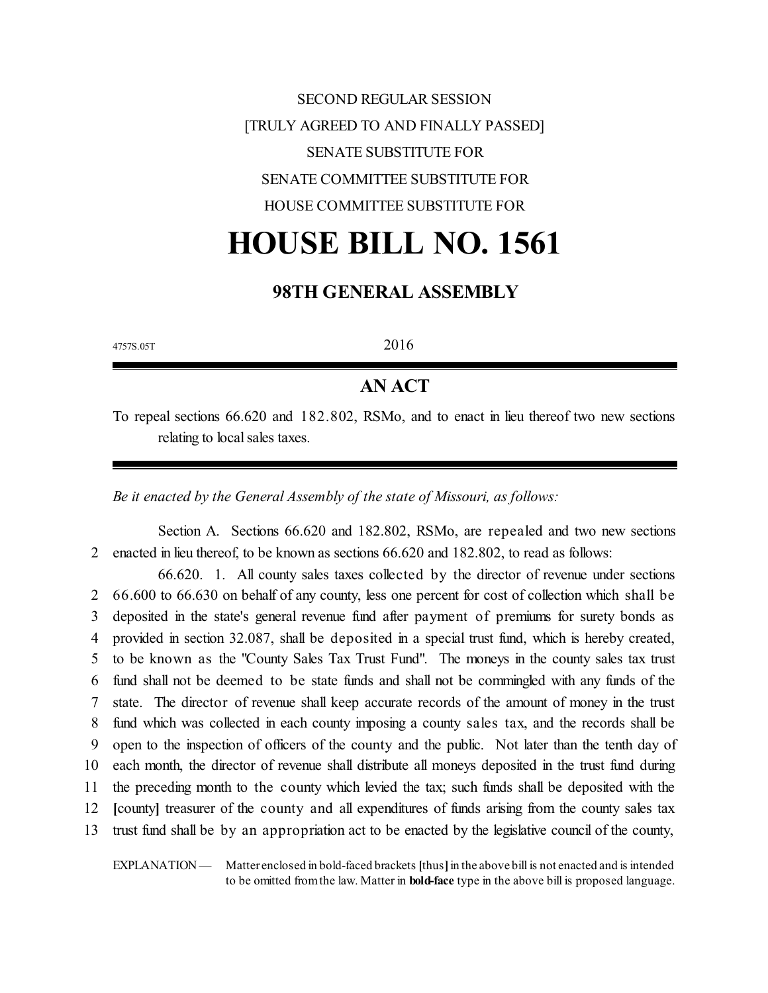SECOND REGULAR SESSION [TRULY AGREED TO AND FINALLY PASSED] SENATE SUBSTITUTE FOR SENATE COMMITTEE SUBSTITUTE FOR HOUSE COMMITTEE SUBSTITUTE FOR

# **HOUSE BILL NO. 1561**

# **98TH GENERAL ASSEMBLY**

 $4757S.05T$  2016

# **AN ACT**

To repeal sections 66.620 and 182.802, RSMo, and to enact in lieu thereof two new sections relating to local sales taxes.

*Be it enacted by the General Assembly of the state of Missouri, as follows:*

Section A. Sections 66.620 and 182.802, RSMo, are repealed and two new sections 2 enacted in lieu thereof, to be known as sections 66.620 and 182.802, to read as follows:

66.620. 1. All county sales taxes collected by the director of revenue under sections 2 66.600 to 66.630 on behalf of any county, less one percent for cost of collection which shall be deposited in the state's general revenue fund after payment of premiums for surety bonds as provided in section 32.087, shall be deposited in a special trust fund, which is hereby created, to be known as the "County Sales Tax Trust Fund". The moneys in the county sales tax trust fund shall not be deemed to be state funds and shall not be commingled with any funds of the state. The director of revenue shall keep accurate records of the amount of money in the trust fund which was collected in each county imposing a county sales tax, and the records shall be open to the inspection of officers of the county and the public. Not later than the tenth day of each month, the director of revenue shall distribute all moneys deposited in the trust fund during the preceding month to the county which levied the tax; such funds shall be deposited with the **[**county**]** treasurer of the county and all expenditures of funds arising from the county sales tax trust fund shall be by an appropriation act to be enacted by the legislative council of the county,

EXPLANATION — Matter enclosed in bold-faced brackets **[**thus**]**in the above bill is not enacted and is intended to be omitted fromthe law. Matter in **bold-face** type in the above bill is proposed language.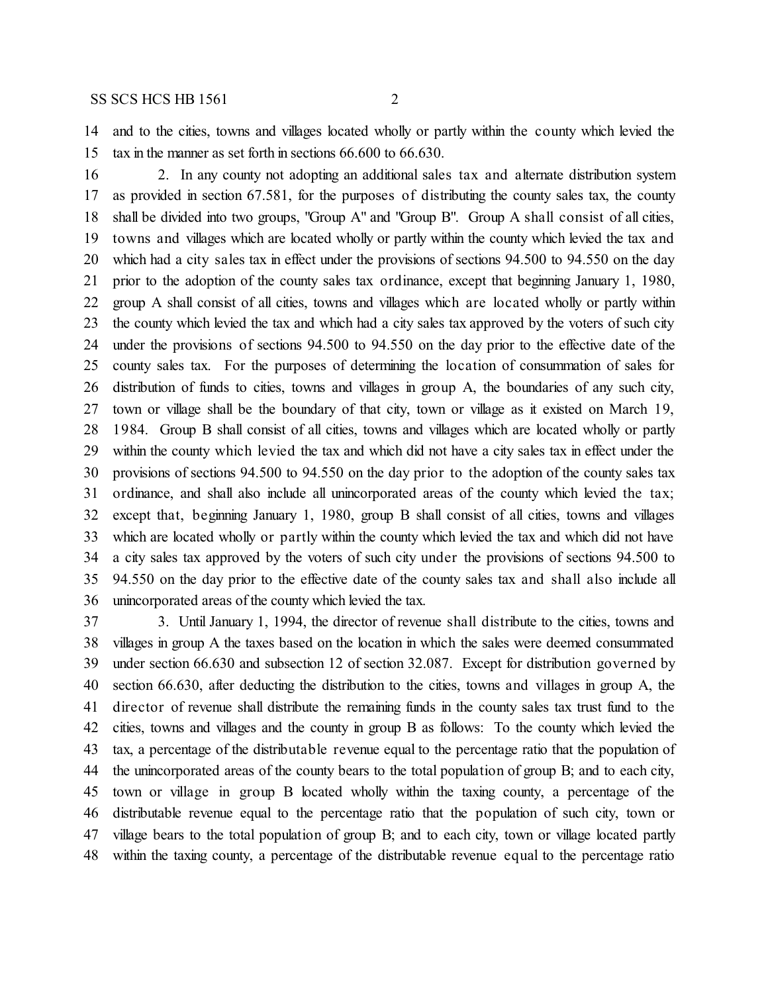and to the cities, towns and villages located wholly or partly within the county which levied the tax in the manner as set forth in sections 66.600 to 66.630.

 2. In any county not adopting an additional sales tax and alternate distribution system as provided in section 67.581, for the purposes of distributing the county sales tax, the county shall be divided into two groups, "Group A" and "Group B". Group A shall consist of all cities, towns and villages which are located wholly or partly within the county which levied the tax and which had a city sales tax in effect under the provisions of sections 94.500 to 94.550 on the day prior to the adoption of the county sales tax ordinance, except that beginning January 1, 1980, group A shall consist of all cities, towns and villages which are located wholly or partly within the county which levied the tax and which had a city sales tax approved by the voters of such city under the provisions of sections 94.500 to 94.550 on the day prior to the effective date of the county sales tax. For the purposes of determining the location of consummation of sales for distribution of funds to cities, towns and villages in group A, the boundaries of any such city, town or village shall be the boundary of that city, town or village as it existed on March 19, 1984. Group B shall consist of all cities, towns and villages which are located wholly or partly within the county which levied the tax and which did not have a city sales tax in effect under the provisions of sections 94.500 to 94.550 on the day prior to the adoption of the county sales tax ordinance, and shall also include all unincorporated areas of the county which levied the tax; except that, beginning January 1, 1980, group B shall consist of all cities, towns and villages which are located wholly or partly within the county which levied the tax and which did not have a city sales tax approved by the voters of such city under the provisions of sections 94.500 to 94.550 on the day prior to the effective date of the county sales tax and shall also include all unincorporated areas of the county which levied the tax.

 3. Until January 1, 1994, the director of revenue shall distribute to the cities, towns and villages in group A the taxes based on the location in which the sales were deemed consummated under section 66.630 and subsection 12 of section 32.087. Except for distribution governed by section 66.630, after deducting the distribution to the cities, towns and villages in group A, the director of revenue shall distribute the remaining funds in the county sales tax trust fund to the cities, towns and villages and the county in group B as follows: To the county which levied the tax, a percentage of the distributable revenue equal to the percentage ratio that the population of the unincorporated areas of the county bears to the total population of group B; and to each city, town or village in group B located wholly within the taxing county, a percentage of the distributable revenue equal to the percentage ratio that the population of such city, town or village bears to the total population of group B; and to each city, town or village located partly within the taxing county, a percentage of the distributable revenue equal to the percentage ratio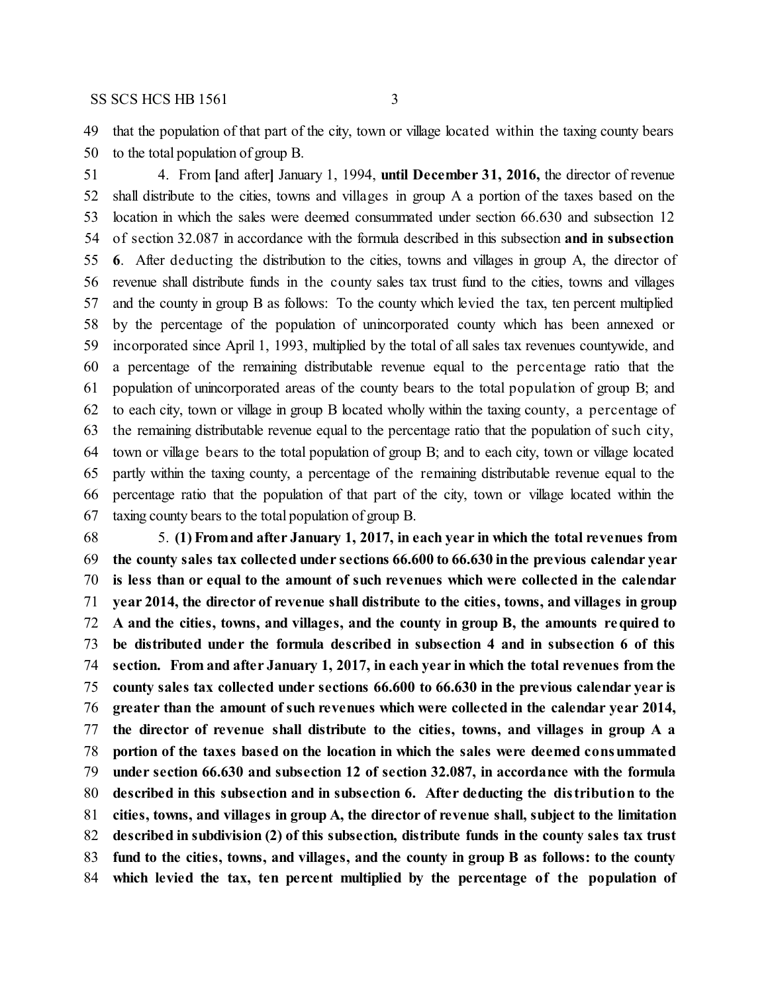that the population of that part of the city, town or village located within the taxing county bears to the total population of group B.

 4. From **[**and after**]** January 1, 1994, **until December 31, 2016,** the director of revenue shall distribute to the cities, towns and villages in group A a portion of the taxes based on the location in which the sales were deemed consummated under section 66.630 and subsection 12 of section 32.087 in accordance with the formula described in this subsection **and in subsection 6**. After deducting the distribution to the cities, towns and villages in group A, the director of revenue shall distribute funds in the county sales tax trust fund to the cities, towns and villages and the county in group B as follows: To the county which levied the tax, ten percent multiplied by the percentage of the population of unincorporated county which has been annexed or incorporated since April 1, 1993, multiplied by the total of all sales tax revenues countywide, and a percentage of the remaining distributable revenue equal to the percentage ratio that the population of unincorporated areas of the county bears to the total population of group B; and to each city, town or village in group B located wholly within the taxing county, a percentage of the remaining distributable revenue equal to the percentage ratio that the population of such city, town or village bears to the total population of group B; and to each city, town or village located partly within the taxing county, a percentage of the remaining distributable revenue equal to the percentage ratio that the population of that part of the city, town or village located within the taxing county bears to the total population of group B.

 5. **(1) Fromand after January 1, 2017, in each year in which the total revenues from the county sales tax collected under sections 66.600 to 66.630 inthe previous calendar year is less than or equal to the amount of such revenues which were collected in the calendar year 2014, the director of revenue shall distribute to the cities, towns, and villages in group A and the cities, towns, and villages, and the county in group B, the amounts required to be distributed under the formula described in subsection 4 and in subsection 6 of this section. From and after January 1, 2017, in each year in which the total revenues from the county sales tax collected under sections 66.600 to 66.630 in the previous calendar year is greater than the amount of such revenues which were collected in the calendar year 2014, the director of revenue shall distribute to the cities, towns, and villages in group A a portion of the taxes based on the location in which the sales were deemed consummated under section 66.630 and subsection 12 of section 32.087, in accordance with the formula described in this subsection and in subsection 6. After deducting the distribution to the cities, towns, and villages in group A, the director of revenue shall, subject to the limitation described in subdivision (2) of this subsection, distribute funds in the county sales tax trust fund to the cities, towns, and villages, and the county in group B as follows: to the county which levied the tax, ten percent multiplied by the percentage of the population of**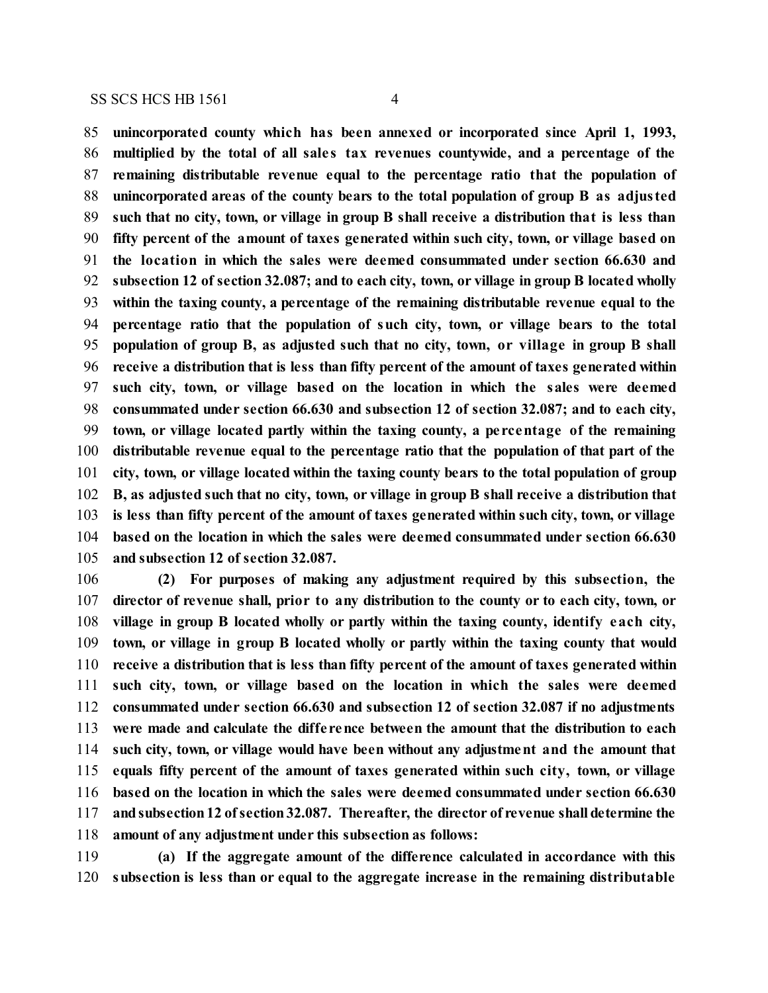**unincorporated county which has been annexed or incorporated since April 1, 1993, multiplied by the total of all sale s tax revenues countywide, and a percentage of the remaining distributable revenue equal to the percentage ratio that the population of unincorporated areas of the county bears to the total population of group B as adjusted such that no city, town, or village in group B shall receive a distribution that is less than fifty percent of the amount of taxes generated within such city, town, or village based on the location in which the sales were deemed consummated under section 66.630 and subsection 12 of section 32.087; and to each city, town, or village in group B located wholly within the taxing county, a percentage of the remaining distributable revenue equal to the percentage ratio that the population of such city, town, or village bears to the total population of group B, as adjusted such that no city, town, or village in group B shall receive a distribution that is less than fifty percent of the amount of taxes generated within such city, town, or village based on the location in which the sales were deemed consummated under section 66.630 and subsection 12 of section 32.087; and to each city, town, or village located partly within the taxing county, a pe rcentage of the remaining distributable revenue equal to the percentage ratio that the population of that part of the city, town, or village located within the taxing county bears to the total population of group B, as adjusted such that no city, town, or village in group B shall receive a distribution that is less than fifty percent of the amount of taxes generated within such city, town, or village based on the location in which the sales were deemed consummated under section 66.630 and subsection 12 of section 32.087.**

 **(2) For purposes of making any adjustment required by this subsection, the director of revenue shall, prior to any distribution to the county or to each city, town, or village in group B located wholly or partly within the taxing county, identify each city, town, or village in group B located wholly or partly within the taxing county that would receive a distribution that is less than fifty percent of the amount of taxes generated within such city, town, or village based on the location in which the sales were deemed consummated under section 66.630 and subsection 12 of section 32.087 if no adjustments were made and calculate the diffe rence between the amount that the distribution to each such city, town, or village would have been without any adjustment and the amount that equals fifty percent of the amount of taxes generated within such city, town, or village based on the location in which the sales were deemed consummated under section 66.630 andsubsection12 ofsection32.087. Thereafter, the director of revenue shall determine the amount of any adjustment under this subsection as follows:**

 **(a) If the aggregate amount of the difference calculated in accordance with this subsection is less than or equal to the aggregate increase in the remaining distributable**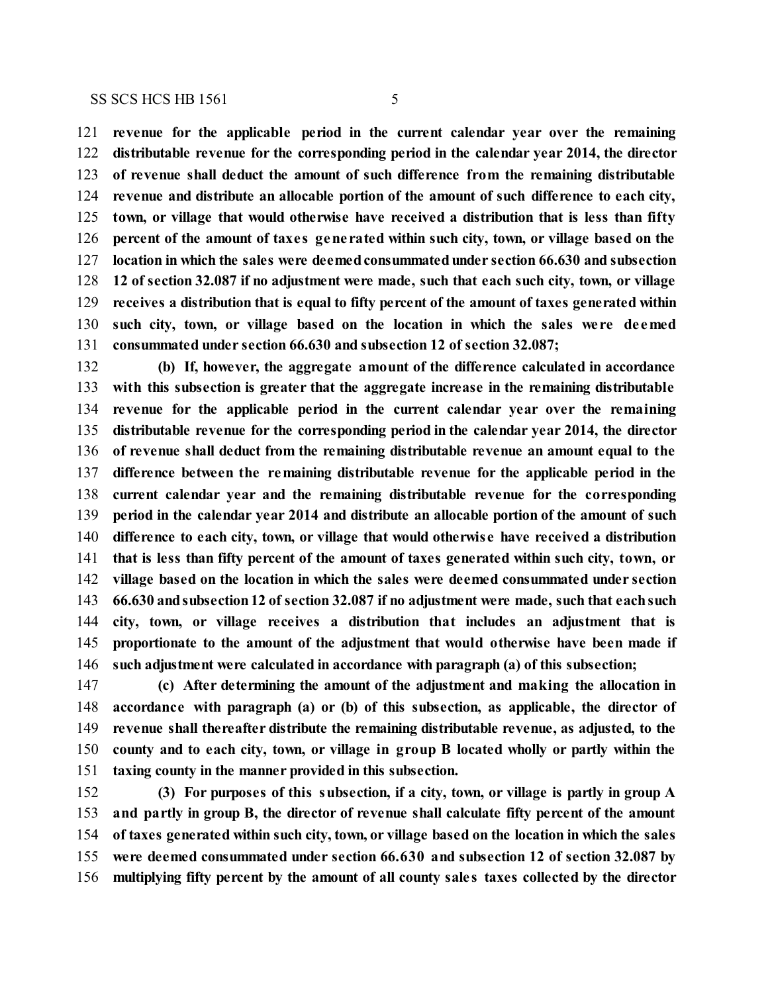**revenue for the applicable period in the current calendar year over the remaining**

 **distributable revenue for the corresponding period in the calendar year 2014, the director of revenue shall deduct the amount of such difference from the remaining distributable revenue and distribute an allocable portion of the amount of such difference to each city, town, or village that would otherwise have received a distribution that is less than fifty percent of the amount of taxe s gene rated within such city, town, or village based on the location in which the sales were deemedconsummatedunder section 66.630 and subsection 12 of section 32.087 if no adjustment were made, such that each such city, town, or village receives a distribution that is equal to fifty percent of the amount of taxes generated within such city, town, or village based on the location in which the sales we re de emed consummated under section 66.630 and subsection 12 of section 32.087;**

 **(b) If, however, the aggregate amount of the difference calculated in accordance with this subsection is greater that the aggregate increase in the remaining distributable revenue for the applicable period in the current calendar year over the remaining distributable revenue for the corresponding period in the calendar year 2014, the director of revenue shall deduct from the remaining distributable revenue an amount equal to the difference between the remaining distributable revenue for the applicable period in the current calendar year and the remaining distributable revenue for the corresponding period in the calendar year 2014 and distribute an allocable portion of the amount of such difference to each city, town, or village that would otherwise have received a distribution that is less than fifty percent of the amount of taxes generated within such city, town, or village based on the location in which the sales were deemed consummated under section 66.630 andsubsection12 of section 32.087 if no adjustment were made, such that eachsuch city, town, or village receives a distribution that includes an adjustment that is proportionate to the amount of the adjustment that would otherwise have been made if such adjustment were calculated in accordance with paragraph (a) of this subsection;**

 **(c) After determining the amount of the adjustment and making the allocation in accordance with paragraph (a) or (b) of this subsection, as applicable, the director of revenue shall thereafter distribute the remaining distributable revenue, as adjusted, to the county and to each city, town, or village in group B located wholly or partly within the taxing county in the manner provided in this subsection.**

 **(3) For purposes of this subsection, if a city, town, or village is partly in group A and partly in group B, the director of revenue shall calculate fifty percent of the amount of taxes generated within such city, town, or village based on the location in which the sales were deemed consummated under section 66.630 and subsection 12 of section 32.087 by multiplying fifty percent by the amount of all county sale s taxes collected by the director**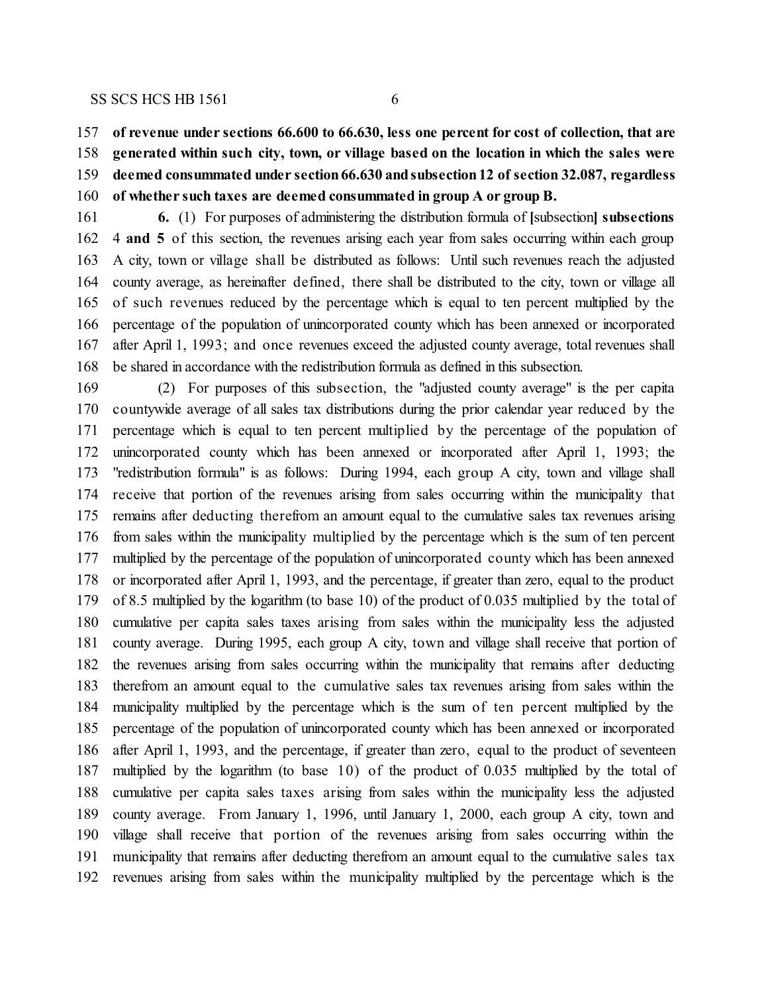**of revenue under sections 66.600 to 66.630, less one percent for cost of collection, that are generated within such city, town, or village based on the location in which the sales were deemed consummated under section66.630 andsubsection12 of section 32.087, regardless of whether such taxes are deemed consummated in group A or group B.**

 **6.** (1) For purposes of administering the distribution formula of **[**subsection**] subsections** 4 **and 5** of this section, the revenues arising each year from sales occurring within each group A city, town or village shall be distributed as follows: Until such revenues reach the adjusted county average, as hereinafter defined, there shall be distributed to the city, town or village all of such revenues reduced by the percentage which is equal to ten percent multiplied by the percentage of the population of unincorporated county which has been annexed or incorporated after April 1, 1993; and once revenues exceed the adjusted county average, total revenues shall be shared in accordance with the redistribution formula as defined in this subsection.

 (2) For purposes of this subsection, the "adjusted county average" is the per capita countywide average of all sales tax distributions during the prior calendar year reduced by the percentage which is equal to ten percent multiplied by the percentage of the population of unincorporated county which has been annexed or incorporated after April 1, 1993; the "redistribution formula" is as follows: During 1994, each group A city, town and village shall receive that portion of the revenues arising from sales occurring within the municipality that remains after deducting therefrom an amount equal to the cumulative sales tax revenues arising from sales within the municipality multiplied by the percentage which is the sum of ten percent multiplied by the percentage of the population of unincorporated county which has been annexed or incorporated after April 1, 1993, and the percentage, if greater than zero, equal to the product of 8.5 multiplied by the logarithm (to base 10) of the product of 0.035 multiplied by the total of cumulative per capita sales taxes arising from sales within the municipality less the adjusted county average. During 1995, each group A city, town and village shall receive that portion of the revenues arising from sales occurring within the municipality that remains after deducting therefrom an amount equal to the cumulative sales tax revenues arising from sales within the municipality multiplied by the percentage which is the sum of ten percent multiplied by the percentage of the population of unincorporated county which has been annexed or incorporated after April 1, 1993, and the percentage, if greater than zero, equal to the product of seventeen multiplied by the logarithm (to base 10) of the product of 0.035 multiplied by the total of cumulative per capita sales taxes arising from sales within the municipality less the adjusted county average. From January 1, 1996, until January 1, 2000, each group A city, town and village shall receive that portion of the revenues arising from sales occurring within the municipality that remains after deducting therefrom an amount equal to the cumulative sales tax revenues arising from sales within the municipality multiplied by the percentage which is the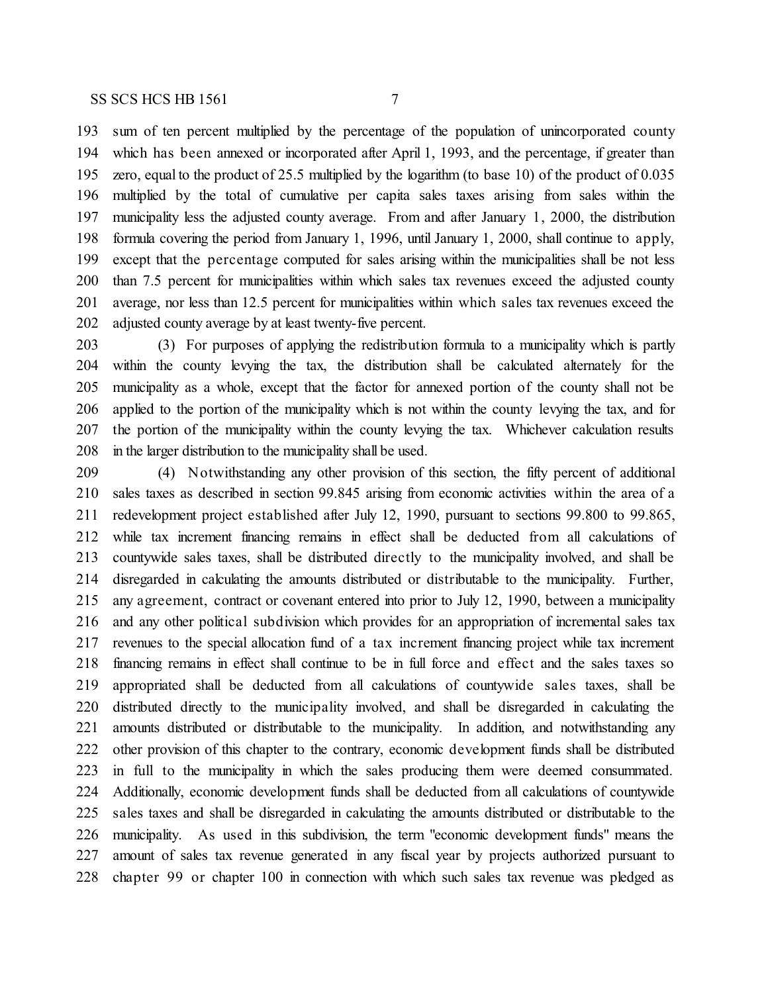adjusted county average by at least twenty-five percent.

 sum of ten percent multiplied by the percentage of the population of unincorporated county which has been annexed or incorporated after April 1, 1993, and the percentage, if greater than zero, equal to the product of 25.5 multiplied by the logarithm (to base 10) of the product of 0.035 multiplied by the total of cumulative per capita sales taxes arising from sales within the municipality less the adjusted county average. From and after January 1, 2000, the distribution formula covering the period from January 1, 1996, until January 1, 2000, shall continue to apply, except that the percentage computed for sales arising within the municipalities shall be not less than 7.5 percent for municipalities within which sales tax revenues exceed the adjusted county average, nor less than 12.5 percent for municipalities within which sales tax revenues exceed the

 (3) For purposes of applying the redistribution formula to a municipality which is partly within the county levying the tax, the distribution shall be calculated alternately for the municipality as a whole, except that the factor for annexed portion of the county shall not be applied to the portion of the municipality which is not within the county levying the tax, and for the portion of the municipality within the county levying the tax. Whichever calculation results in the larger distribution to the municipality shall be used.

 (4) Notwithstanding any other provision of this section, the fifty percent of additional sales taxes as described in section 99.845 arising from economic activities within the area of a redevelopment project established after July 12, 1990, pursuant to sections 99.800 to 99.865, while tax increment financing remains in effect shall be deducted from all calculations of countywide sales taxes, shall be distributed directly to the municipality involved, and shall be disregarded in calculating the amounts distributed or distributable to the municipality. Further, any agreement, contract or covenant entered into prior to July 12, 1990, between a municipality and any other political subdivision which provides for an appropriation of incremental sales tax revenues to the special allocation fund of a tax increment financing project while tax increment financing remains in effect shall continue to be in full force and effect and the sales taxes so appropriated shall be deducted from all calculations of countywide sales taxes, shall be distributed directly to the municipality involved, and shall be disregarded in calculating the amounts distributed or distributable to the municipality. In addition, and notwithstanding any other provision of this chapter to the contrary, economic development funds shall be distributed in full to the municipality in which the sales producing them were deemed consummated. Additionally, economic development funds shall be deducted from all calculations of countywide sales taxes and shall be disregarded in calculating the amounts distributed or distributable to the municipality. As used in this subdivision, the term "economic development funds" means the amount of sales tax revenue generated in any fiscal year by projects authorized pursuant to chapter 99 or chapter 100 in connection with which such sales tax revenue was pledged as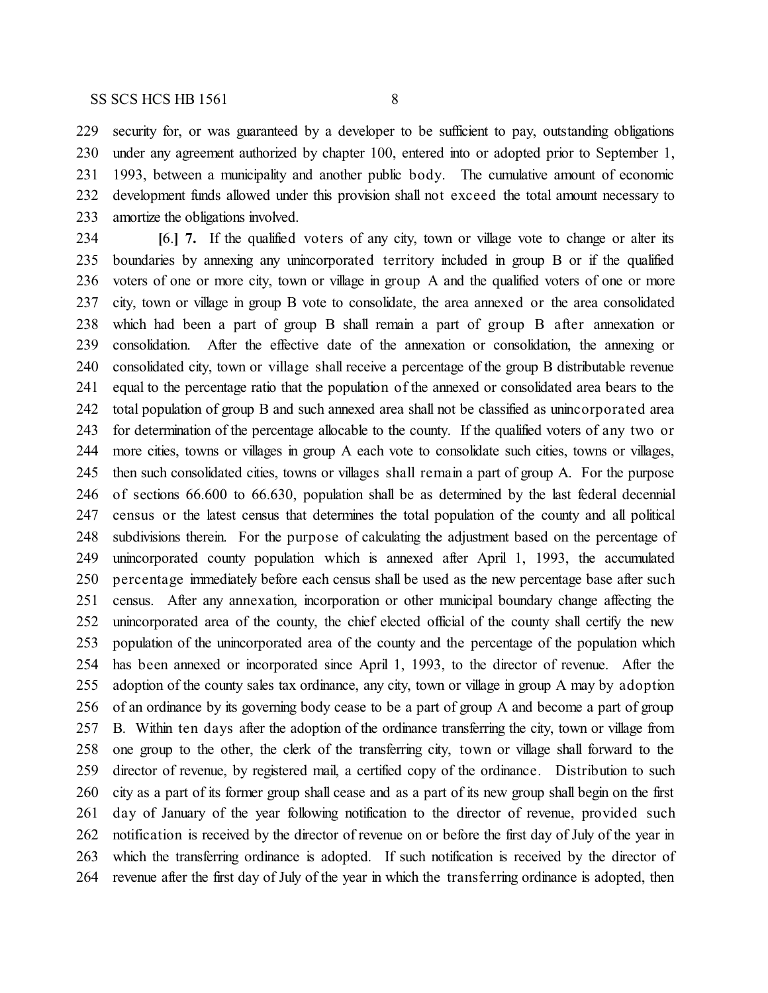security for, or was guaranteed by a developer to be sufficient to pay, outstanding obligations under any agreement authorized by chapter 100, entered into or adopted prior to September 1, 1993, between a municipality and another public body. The cumulative amount of economic development funds allowed under this provision shall not exceed the total amount necessary to amortize the obligations involved.

 **[**6.**] 7.** If the qualified voters of any city, town or village vote to change or alter its boundaries by annexing any unincorporated territory included in group B or if the qualified voters of one or more city, town or village in group A and the qualified voters of one or more city, town or village in group B vote to consolidate, the area annexed or the area consolidated which had been a part of group B shall remain a part of group B after annexation or consolidation. After the effective date of the annexation or consolidation, the annexing or consolidated city, town or village shall receive a percentage of the group B distributable revenue equal to the percentage ratio that the population of the annexed or consolidated area bears to the total population of group B and such annexed area shall not be classified as unincorporated area for determination of the percentage allocable to the county. If the qualified voters of any two or more cities, towns or villages in group A each vote to consolidate such cities, towns or villages, then such consolidated cities, towns or villages shall remain a part of group A. For the purpose of sections 66.600 to 66.630, population shall be as determined by the last federal decennial census or the latest census that determines the total population of the county and all political subdivisions therein. For the purpose of calculating the adjustment based on the percentage of unincorporated county population which is annexed after April 1, 1993, the accumulated percentage immediately before each census shall be used as the new percentage base after such census. After any annexation, incorporation or other municipal boundary change affecting the unincorporated area of the county, the chief elected official of the county shall certify the new population of the unincorporated area of the county and the percentage of the population which has been annexed or incorporated since April 1, 1993, to the director of revenue. After the adoption of the county sales tax ordinance, any city, town or village in group A may by adoption of an ordinance by its governing body cease to be a part of group A and become a part of group B. Within ten days after the adoption of the ordinance transferring the city, town or village from one group to the other, the clerk of the transferring city, town or village shall forward to the director of revenue, by registered mail, a certified copy of the ordinance. Distribution to such city as a part of its former group shall cease and as a part of its new group shall begin on the first day of January of the year following notification to the director of revenue, provided such notification is received by the director of revenue on or before the first day of July of the year in which the transferring ordinance is adopted. If such notification is received by the director of revenue after the first day of July of the year in which the transferring ordinance is adopted, then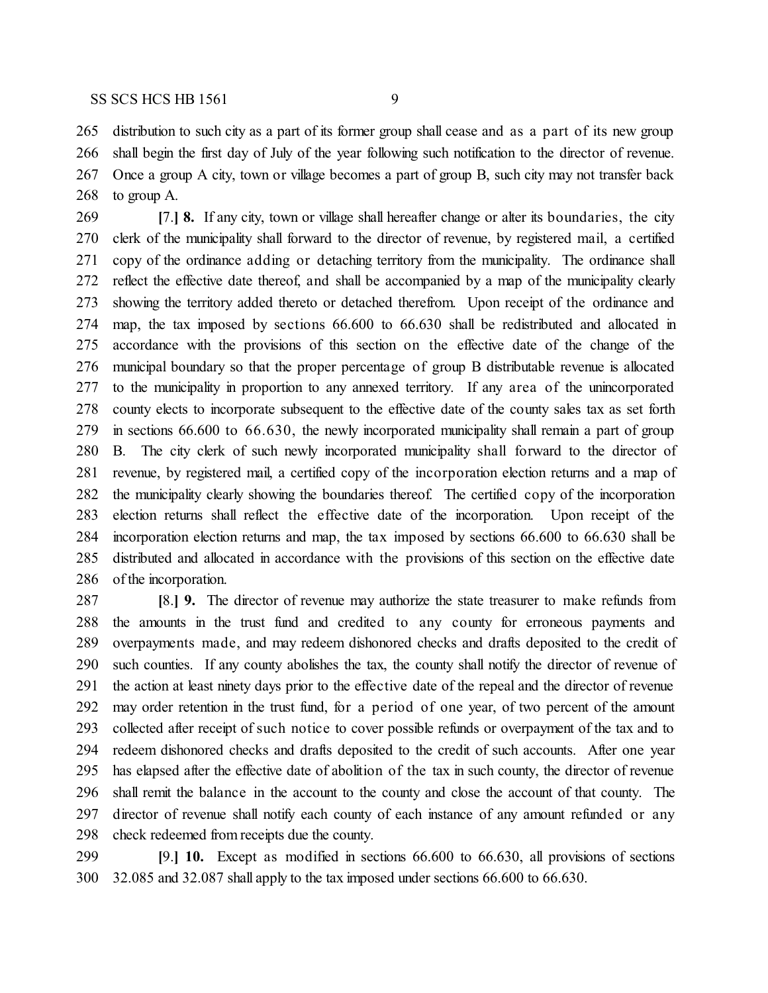distribution to such city as a part of its former group shall cease and as a part of its new group shall begin the first day of July of the year following such notification to the director of revenue. Once a group A city, town or village becomes a part of group B, such city may not transfer back to group A.

 **[**7.**] 8.** If any city, town or village shall hereafter change or alter its boundaries, the city clerk of the municipality shall forward to the director of revenue, by registered mail, a certified copy of the ordinance adding or detaching territory from the municipality. The ordinance shall reflect the effective date thereof, and shall be accompanied by a map of the municipality clearly showing the territory added thereto or detached therefrom. Upon receipt of the ordinance and map, the tax imposed by sections 66.600 to 66.630 shall be redistributed and allocated in accordance with the provisions of this section on the effective date of the change of the municipal boundary so that the proper percentage of group B distributable revenue is allocated to the municipality in proportion to any annexed territory. If any area of the unincorporated county elects to incorporate subsequent to the effective date of the county sales tax as set forth in sections 66.600 to 66.630, the newly incorporated municipality shall remain a part of group B. The city clerk of such newly incorporated municipality shall forward to the director of revenue, by registered mail, a certified copy of the incorporation election returns and a map of the municipality clearly showing the boundaries thereof. The certified copy of the incorporation election returns shall reflect the effective date of the incorporation. Upon receipt of the incorporation election returns and map, the tax imposed by sections 66.600 to 66.630 shall be distributed and allocated in accordance with the provisions of this section on the effective date of the incorporation.

 **[**8.**] 9.** The director of revenue may authorize the state treasurer to make refunds from the amounts in the trust fund and credited to any county for erroneous payments and overpayments made, and may redeem dishonored checks and drafts deposited to the credit of such counties. If any county abolishes the tax, the county shall notify the director of revenue of the action at least ninety days prior to the effective date of the repeal and the director of revenue may order retention in the trust fund, for a period of one year, of two percent of the amount collected after receipt of such notice to cover possible refunds or overpayment of the tax and to redeem dishonored checks and drafts deposited to the credit of such accounts. After one year has elapsed after the effective date of abolition of the tax in such county, the director of revenue shall remit the balance in the account to the county and close the account of that county. The director of revenue shall notify each county of each instance of any amount refunded or any check redeemed from receipts due the county.

 **[**9.**] 10.** Except as modified in sections 66.600 to 66.630, all provisions of sections 32.085 and 32.087 shall apply to the tax imposed under sections 66.600 to 66.630.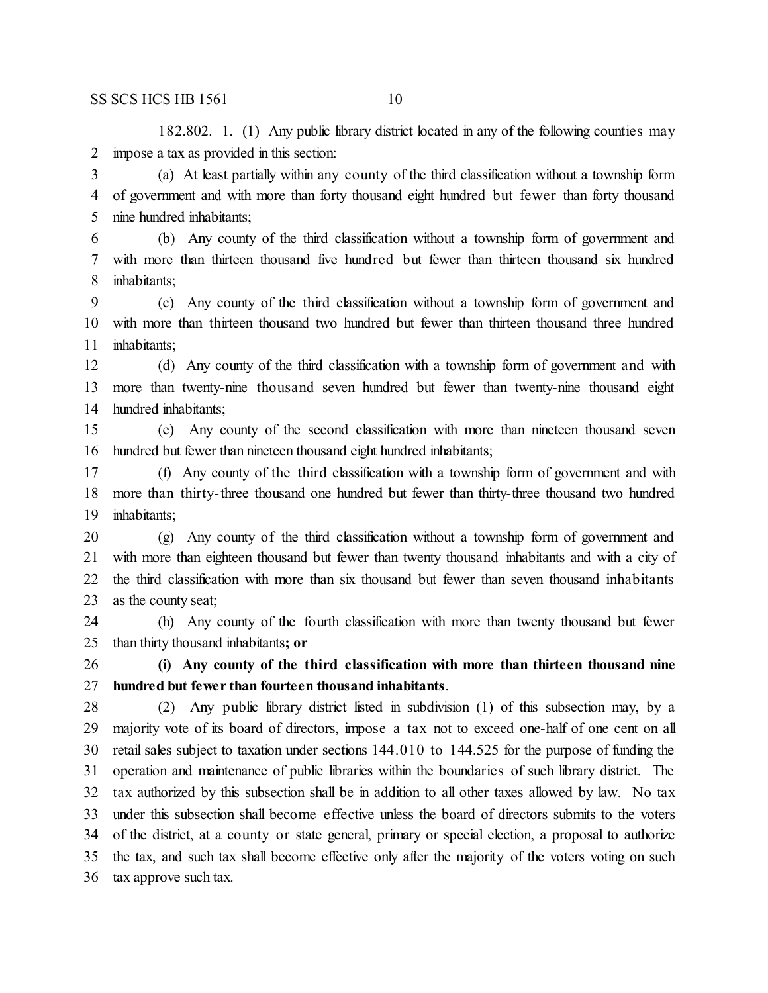182.802. 1. (1) Any public library district located in any of the following counties may impose a tax as provided in this section:

 (a) At least partially within any county of the third classification without a township form of government and with more than forty thousand eight hundred but fewer than forty thousand nine hundred inhabitants;

 (b) Any county of the third classification without a township form of government and with more than thirteen thousand five hundred but fewer than thirteen thousand six hundred inhabitants;

 (c) Any county of the third classification without a township form of government and with more than thirteen thousand two hundred but fewer than thirteen thousand three hundred inhabitants;

 (d) Any county of the third classification with a township form of government and with more than twenty-nine thousand seven hundred but fewer than twenty-nine thousand eight hundred inhabitants;

 (e) Any county of the second classification with more than nineteen thousand seven hundred but fewer than nineteen thousand eight hundred inhabitants;

 (f) Any county of the third classification with a township form of government and with more than thirty-three thousand one hundred but fewer than thirty-three thousand two hundred inhabitants;

 (g) Any county of the third classification without a township form of government and with more than eighteen thousand but fewer than twenty thousand inhabitants and with a city of the third classification with more than six thousand but fewer than seven thousand inhabitants as the county seat;

 (h) Any county of the fourth classification with more than twenty thousand but fewer than thirty thousand inhabitants**; or**

 **(i) Any county of the third classification with more than thirteen thousand nine hundred but fewer than fourteen thousand inhabitants**.

 (2) Any public library district listed in subdivision (1) of this subsection may, by a majority vote of its board of directors, impose a tax not to exceed one-half of one cent on all retail sales subject to taxation under sections 144.010 to 144.525 for the purpose of funding the operation and maintenance of public libraries within the boundaries of such library district. The tax authorized by this subsection shall be in addition to all other taxes allowed by law. No tax under this subsection shall become effective unless the board of directors submits to the voters of the district, at a county or state general, primary or special election, a proposal to authorize the tax, and such tax shall become effective only after the majority of the voters voting on such tax approve such tax.